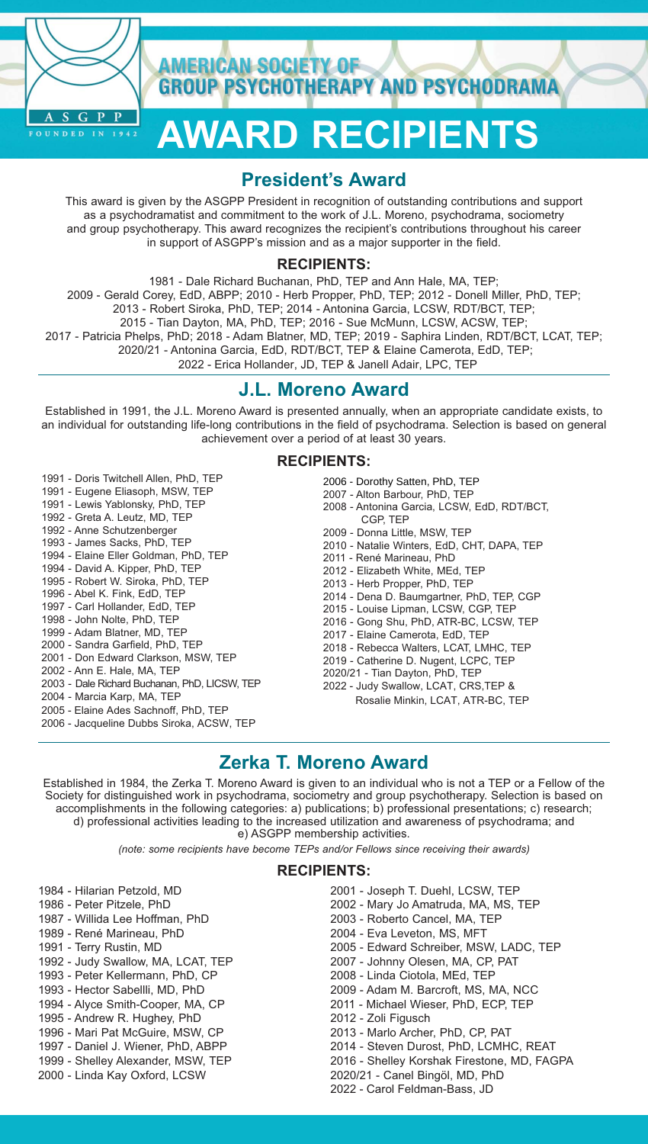

**AMERICAN SOCIETY OF GROUP PSYCHOTHERAPY AND PSYCHODRAMA** 

# **AWARD RECIPIENTS**

# **President's Award**

This award is given by the ASGPP President in recognition of outstanding contributions and support as a psychodramatist and commitment to the work of J.L. Moreno, psychodrama, sociometry and group psychotherapy. This award recognizes the recipient's contributions throughout his career in support of ASGPP's mission and as a major supporter in the field.

#### **RECIPIENTS:**

1981 - Dale Richard Buchanan, PhD, TEP and Ann Hale, MA, TEP; 2009 - Gerald Corey, EdD, ABPP; 2010 - Herb Propper, PhD, TEP; 2012 - Donell Miller, PhD, TEP; 2013 - Robert Siroka, PhD, TEP; 2014 - Antonina Garcia, LCSW, RDT/BCT, TEP; 2015 - Tian Dayton, MA, PhD, TEP; 2016 - Sue McMunn, LCSW, ACSW, TEP; 2017 - Patricia Phelps, PhD; 2018 - Adam Blatner, MD, TEP; 2019 - Saphira Linden, RDT/BCT, LCAT, TEP; 2020/21 - Antonina Garcia, EdD, RDT/BCT, TEP & Elaine Camerota, EdD, TEP; 2022 - Erica Hollander, JD, TEP & Janell Adair, LPC, TEP

## **J.L. Moreno Award**

Established in 1991, the J.L. Moreno Award is presented annually, when an appropriate candidate exists, to an individual for outstanding life-long contributions in the field of psychodrama. Selection is based on general achievement over a period of at least 30 years.

#### **RECIPIENTS:**

- 1991 Doris Twitchell Allen, PhD, TEP
- 1991 Eugene Eliasoph, MSW, TEP
- 1991 Lewis Yablonsky, PhD, TEP
- 1992 Greta A. Leutz, MD, TEP
- 1992 Anne Schutzenberger
- 1993 James Sacks, PhD, TEP
- 1994 Elaine Eller Goldman, PhD, TEP
- 1994 David A. Kipper, PhD, TEP
- 1995 Robert W. Siroka, PhD, TEP
- 1996 Abel K. Fink, EdD, TEP 1997 - Carl Hollander, EdD, TEP
- 1998 John Nolte, PhD, TEP
- 1999 Adam Blatner, MD, TEP
- 2000 Sandra Garfield, PhD, TEP
- 2001 Don Edward Clarkson, MSW, TEP
- 2002 Ann E. Hale, MA, TEP
- 2003 Dale Richard Buchanan, PhD, LICSW, TEP
- 2004 Marcia Karp, MA, TEP
- 2005 Elaine Ades Sachnoff, PhD, TEP
- 2006 Jacqueline Dubbs Siroka, ACSW, TEP
- 2006 Dorothy Satten, PhD, TEP
- 2007 Alton Barbour, PhD, TEP
- 2008 Antonina Garcia, LCSW, EdD, RDT/BCT, CGP, TEP
- 2009 Donna Little, MSW, TEP
- 2010 Natalie Winters, EdD, CHT, DAPA, TEP
- 2011 René Marineau, PhD
- 2012 Elizabeth White, MEd, TEP
- 2013 Herb Propper, PhD, TEP
- 2014 Dena D. Baumgartner, PhD, TEP, CGP
- 2015 Louise Lipman, LCSW, CGP, TEP
- 2016 Gong Shu, PhD, ATR-BC, LCSW, TEP
- 2017 Elaine Camerota, EdD, TEP
- 2018 Rebecca Walters, LCAT, LMHC, TEP
- 2019 Catherine D. Nugent, LCPC, TEP
- 2020/21 Tian Dayton, PhD, TEP
- 2022 Judy Swallow, LCAT, CRS,TEP & Rosalie Minkin, LCAT, ATR-BC, TEP

## **Zerka T. Moreno Award**

Established in 1984, the Zerka T. Moreno Award is given to an individual who is not a TEP or a Fellow of the Society for distinguished work in psychodrama, sociometry and group psychotherapy. Selection is based on accomplishments in the following categories: a) publications; b) professional presentations; c) research; d) professional activities leading to the increased utilization and awareness of psychodrama; and

e) ASGPP membership activities.

*(note: some recipients have become TEPs and/or Fellows since receiving their awards)*

#### **RECIPIENTS:**

- 1984 Hilarian Petzold, MD
- 1986 Peter Pitzele, PhD
- 1987 Willida Lee Hoffman, PhD
- 1989 René Marineau, PhD
- 1991 Terry Rustin, MD
- 1992 Judy Swallow, MA, LCAT, TEP
- 1993 Peter Kellermann, PhD, CP
- 1993 Hector Sabellli, MD, PhD
- 1994 Alyce Smith-Cooper, MA, CP
- 1995 Andrew R. Hughey, PhD
- 1996 Mari Pat McGuire, MSW, CP
- 1997 Daniel J. Wiener, PhD, ABPP
- 1999 Shelley Alexander, MSW, TEP
- 2000 Linda Kay Oxford, LCSW
	-
- 2001 Joseph T. Duehl, LCSW, TEP
- 2002 Mary Jo Amatruda, MA, MS, TEP
- 2003 Roberto Cancel, MA, TEP
- 2004 Eva Leveton, MS, MFT
- 2005 Edward Schreiber, MSW, LADC, TEP
- 2007 Johnny Olesen, MA, CP, PAT
- 2008 Linda Ciotola, MEd, TEP
- 2009 Adam M. Barcroft, MS, MA, NCC
- 2011 Michael Wieser, PhD, ECP, TEP
- 2012 Zoli Figusch
- 2013 Marlo Archer, PhD, CP, PAT
- 2014 Steven Durost, PhD, LCMHC, REAT
- 2016 Shelley Korshak Firestone, MD, FAGPA
- 2020/21 Canel Bingöl, MD, PhD 2022 - Carol Feldman-Bass, JD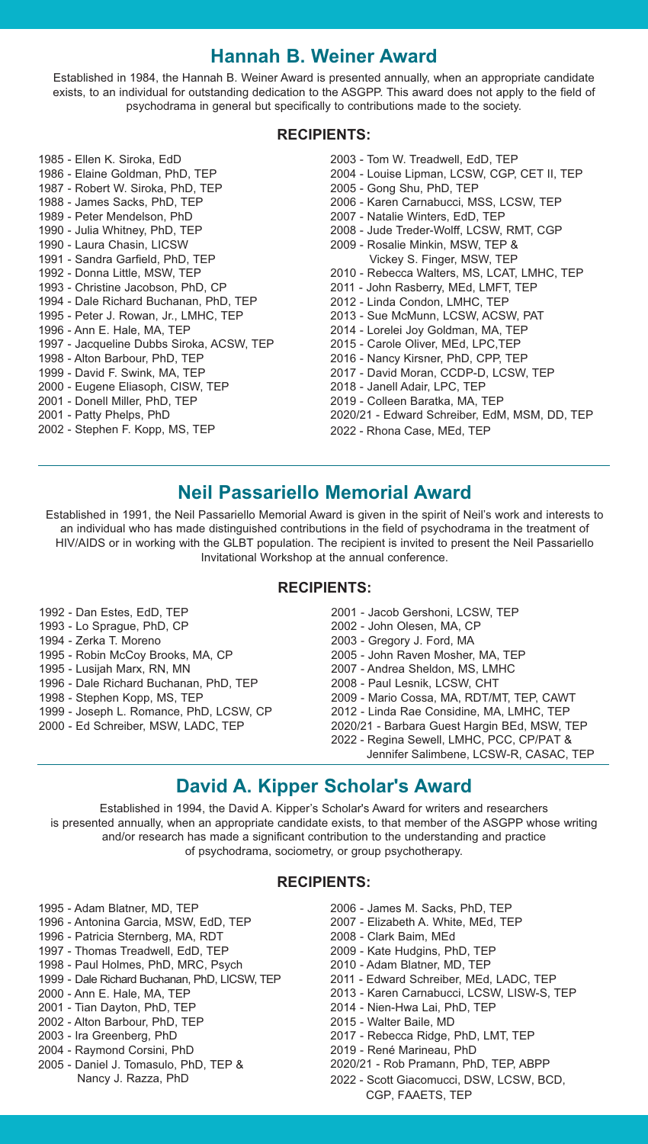## **Hannah B. Weiner Award**

Established in 1984, the Hannah B. Weiner Award is presented annually, when an appropriate candidate exists, to an individual for outstanding dedication to the ASGPP. This award does not apply to the field of psychodrama in general but specifically to contributions made to the society.

#### **RECIPIENTS:**

1985 - Ellen K. Siroka, EdD 1986 - Elaine Goldman, PhD, TEP 1987 - Robert W. Siroka, PhD, TEP 1988 - James Sacks, PhD, TEP 1989 - Peter Mendelson, PhD 1990 - Julia Whitney, PhD, TEP 1990 - Laura Chasin, LICSW 1991 - Sandra Garfield, PhD, TEP 1992 - Donna Little, MSW, TEP 1993 - Christine Jacobson, PhD, CP 1994 - Dale Richard Buchanan, PhD, TEP 1995 - Peter J. Rowan, Jr., LMHC, TEP 1996 - Ann E. Hale, MA, TEP 1997 - Jacqueline Dubbs Siroka, ACSW, TEP 1998 - Alton Barbour, PhD, TEP 1999 - David F. Swink, MA, TEP 2000 - Eugene Eliasoph, CISW, TEP 2001 - Donell Miller, PhD, TEP 2001 - Patty Phelps, PhD 2002 - Stephen F. Kopp, MS, TEP 2003 - Tom W. Treadwell, EdD, TEP 2004 - Louise Lipman, LCSW, CGP, CET II, TEP 2005 - Gong Shu, PhD, TEP 2006 - Karen Carnabucci, MSS, LCSW, TEP 2007 - Natalie Winters, EdD, TEP 2008 - Jude Treder-Wolff, LCSW, RMT, CGP 2009 - Rosalie Minkin, MSW, TEP & Vickey S. Finger, MSW, TEP 2010 - Rebecca Walters, MS, LCAT, LMHC, TEP 2011 - John Rasberry, MEd, LMFT, TEP 2012 - Linda Condon, LMHC, TEP 2013 - Sue McMunn, LCSW, ACSW, PAT 2014 - Lorelei Joy Goldman, MA, TEP 2015 - Carole Oliver, MEd, LPC,TEP 2016 - Nancy Kirsner, PhD, CPP, TEP 2017 - David Moran, CCDP-D, LCSW, TEP 2018 - Janell Adair, LPC, TEP 2019 - Colleen Baratka, MA, TEP 2020/21 - Edward Schreiber, EdM, MSM, DD, TEP 2022 - Rhona Case, MEd, TEP

# **Neil Passariello Memorial Award**

Established in 1991, the Neil Passariello Memorial Award is given in the spirit of Neil's work and interests to an individual who has made distinguished contributions in the field of psychodrama in the treatment of HIV/AIDS or in working with the GLBT population. The recipient is invited to present the Neil Passariello Invitational Workshop at the annual conference.

#### **RECIPIENTS:**

- 1992 Dan Estes, EdD, TEP
- 1993 Lo Sprague, PhD, CP
- 1994 Zerka T. Moreno
- 1995 Robin McCoy Brooks, MA, CP
- 1995 Lusijah Marx, RN, MN
- 1996 Dale Richard Buchanan, PhD, TEP
- 1998 Stephen Kopp, MS, TEP
- 1999 Joseph L. Romance, PhD, LCSW, CP
- 2000 Ed Schreiber, MSW, LADC, TEP
- 2001 Jacob Gershoni, LCSW, TEP 2002 - John Olesen, MA, CP 2003 - Gregory J. Ford, MA 2005 - John Raven Mosher, MA, TEP 2007 - Andrea Sheldon, MS, LMHC 2008 - Paul Lesnik, LCSW, CHT 2009 - Mario Cossa, MA, RDT/MT, TEP, CAWT 2012 - Linda Rae Considine, MA, LMHC, TEP 2020/21 - Barbara Guest Hargin BEd, MSW, TEP 2022 - Regina Sewell, LMHC, PCC, CP/PAT & Jennifer Salimbene, LCSW-R, CASAC, TEP

# **David A. Kipper Scholar's Award**

Established in 1994, the David A. Kipper's Scholar's Award for writers and researchers is presented annually, when an appropriate candidate exists, to that member of the ASGPP whose writing and/or research has made a significant contribution to the understanding and practice of psychodrama, sociometry, or group psychotherapy.

#### **RECIPIENTS:**

- 1995 Adam Blatner, MD, TEP
- 1996 Antonina Garcia, MSW, EdD, TEP
- 1996 Patricia Sternberg, MA, RDT
- 1997 Thomas Treadwell, EdD, TEP
- 1998 Paul Holmes, PhD, MRC, Psych
- 1999 Dale Richard Buchanan, PhD, LICSW, TEP
- 2000 Ann E. Hale, MA, TEP
- 2001 Tian Dayton, PhD, TEP
- 2002 Alton Barbour, PhD, TEP
- 2003 Ira Greenberg, PhD
- 2004 Raymond Corsini, PhD
- 2005 Daniel J. Tomasulo, PhD, TEP & Nancy J. Razza, PhD
- 2006 James M. Sacks, PhD, TEP
- 2007 Elizabeth A. White, MEd, TEP
- 2008 Clark Baim, MEd
- 2009 Kate Hudgins, PhD, TEP
- 2010 Adam Blatner, MD, TEP
- 2011 Edward Schreiber, MEd, LADC, TEP
- 2013 Karen Carnabucci, LCSW, LISW-S, TEP
- 2014 Nien-Hwa Lai, PhD, TEP
- 2015 Walter Baile, MD
- 2017 Rebecca Ridge, PhD, LMT, TEP
- 2019 René Marineau, PhD
- 2020/21 Rob Pramann, PhD, TEP, ABPP
- 2022 Scott Giacomucci, DSW, LCSW, BCD,
	- CGP, FAAETS, TEP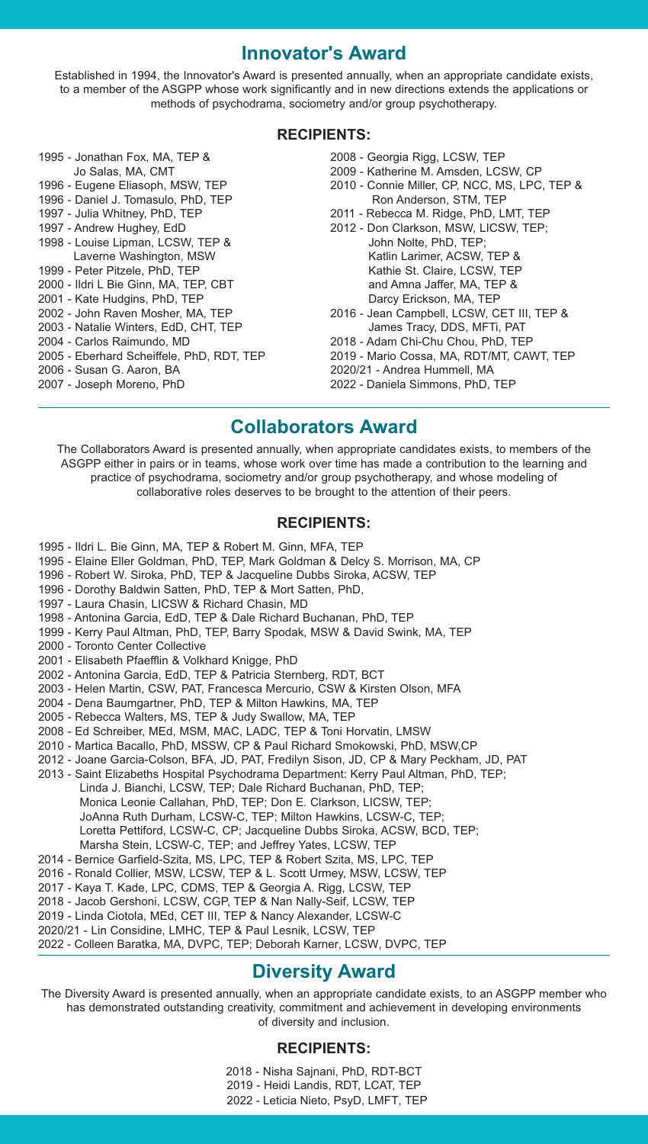## **Innovator's Award**

Established in 1994, the Innovator's Award is presented annually, when an appropriate candidate exists, to a member of the ASGPP whose work significantly and in new directions extends the applications or methods of psychodrama, sociometry and/or group psychotherapy.

#### **RECIPIENTS:**

- 1995 Jonathan Fox, MA, TEP & Jo Salas, MA, CMT
- 1996 Eugene Eliasoph, MSW, TEP 1996 - Daniel J. Tomasulo, PhD, TEP
- 1997 Julia Whitney, PhD, TEP
- 1997 Andrew Hughey, EdD
- 1998 Louise Lipman, LCSW, TEP & Laverne Washington, MSW
- 1999 Peter Pitzele, PhD, TEP
- 2000 Ildri L Bie Ginn, MA, TEP, CBT
- 2001 Kate Hudgins, PhD, TEP
- 2002 John Raven Mosher, MA, TEP
- 2003 Natalie Winters, EdD, CHT, TEP
- 2004 Carlos Raimundo, MD
- 2005 Eberhard Scheiffele, PhD, RDT, TEP
- 2006 Susan G. Aaron, BA
- 2007 Joseph Moreno, PhD
- 2008 Georgia Rigg, LCSW, TEP
- 2009 Katherine M. Amsden, LCSW, CP
- 2010 Connie Miller, CP, NCC, MS, LPC, TEP & Ron Anderson, STM, TEP
- 2011 Rebecca M. Ridge, PhD, LMT, TEP
- 2012 Don Clarkson, MSW, LICSW, TEP; John Nolte, PhD, TEP; Katlin Larimer, ACSW, TEP & Kathie St. Claire, LCSW, TEP and Amna Jaffer, MA, TEP & Darcy Erickson, MA, TEP
- 2016 Jean Campbell, LCSW, CET III, TEP & James Tracy, DDS, MFTi, PAT
- 2018 Adam Chi-Chu Chou, PhD, TEP
- 2019 Mario Cossa, MA, RDT/MT, CAWT, TEP
- 2020/21 Andrea Hummell, MA
- 2022 Daniela Simmons, PhD, TEP

## **Collaborators Award**

The Collaborators Award is presented annually, when appropriate candidates exists, to members of the ASGPP either in pairs or in teams, whose work over time has made a contribution to the learning and practice of psychodrama, sociometry and/or group psychotherapy, and whose modeling of collaborative roles deserves to be brought to the attention of their peers.

#### **RECIPIENTS:**

- 1995 Ildri L. Bie Ginn, MA, TEP & Robert M. Ginn, MFA, TEP
- 1995 Elaine Eller Goldman, PhD, TEP, Mark Goldman & Delcy S. Morrison, MA, CP
- 1996 Robert W. Siroka, PhD, TEP & Jacqueline Dubbs Siroka, ACSW, TEP
- 1996 Dorothy Baldwin Satten, PhD, TEP & Mort Satten, PhD,
- 1997 Laura Chasin, LICSW & Richard Chasin, MD
- 1998 Antonina Garcia, EdD, TEP & Dale Richard Buchanan, PhD, TEP
- 1999 Kerry Paul Altman, PhD, TEP, Barry Spodak, MSW & David Swink, MA, TEP
- 2000 Toronto Center Collective
- 2001 Elisabeth Pfaefflin & Volkhard Knigge, PhD
- 2002 Antonina Garcia, EdD, TEP & Patricia Sternberg, RDT, BCT
- 2003 Helen Martin, CSW, PAT, Francesca Mercurio, CSW & Kirsten Olson, MFA
- 2004 Dena Baumgartner, PhD, TEP & Milton Hawkins, MA, TEP
- 2005 Rebecca Walters, MS, TEP & Judy Swallow, MA, TEP
- 2008 Ed Schreiber, MEd, MSM, MAC, LADC, TEP & Toni Horvatin, LMSW
- 2010 Martica Bacallo, PhD, MSSW, CP & Paul Richard Smokowski, PhD, MSW,CP
- 2012 Joane Garcia-Colson, BFA, JD, PAT, Fredilyn Sison, JD, CP & Mary Peckham, JD, PAT
- 2013 Saint Elizabeths Hospital Psychodrama Department: Kerry Paul Altman, PhD, TEP; Linda J. Bianchi, LCSW, TEP; Dale Richard Buchanan, PhD, TEP; Monica Leonie Callahan, PhD, TEP; Don E. Clarkson, LICSW, TEP; JoAnna Ruth Durham, LCSW-C, TEP; Milton Hawkins, LCSW-C, TEP; Loretta Pettiford, LCSW-C, CP; Jacqueline Dubbs Siroka, ACSW, BCD, TEP; Marsha Stein, LCSW-C, TEP; and Jeffrey Yates, LCSW, TEP
- 2014 Bernice Garfield-Szita, MS, LPC, TEP & Robert Szita, MS, LPC, TEP
- 2016 Ronald Collier, MSW, LCSW, TEP & L. Scott Urmey, MSW, LCSW, TEP
- 2017 Kaya T. Kade, LPC, CDMS, TEP & Georgia A. Rigg, LCSW, TEP
- 2018 Jacob Gershoni, LCSW, CGP, TEP & Nan Nally-Seif, LCSW, TEP
- 2019 Linda Ciotola, MEd, CET III, TEP & Nancy Alexander, LCSW-C
- 2020/21 Lin Considine, LMHC, TEP & Paul Lesnik, LCSW, TEP

2022 - Colleen Baratka, MA, DVPC, TEP; Deborah Karner, LCSW, DVPC, TEP

# **Diversity Award**

The Diversity Award is presented annually, when an appropriate candidate exists, to an ASGPP member who has demonstrated outstanding creativity, commitment and achievement in developing environments of diversity and inclusion.

#### **RECIPIENTS:**

2018 - Nisha Sajnani, PhD, RDT-BCT 2019 - Heidi Landis, RDT, LCAT, TEP 2022 - Leticia Nieto, PsyD, LMFT, TEP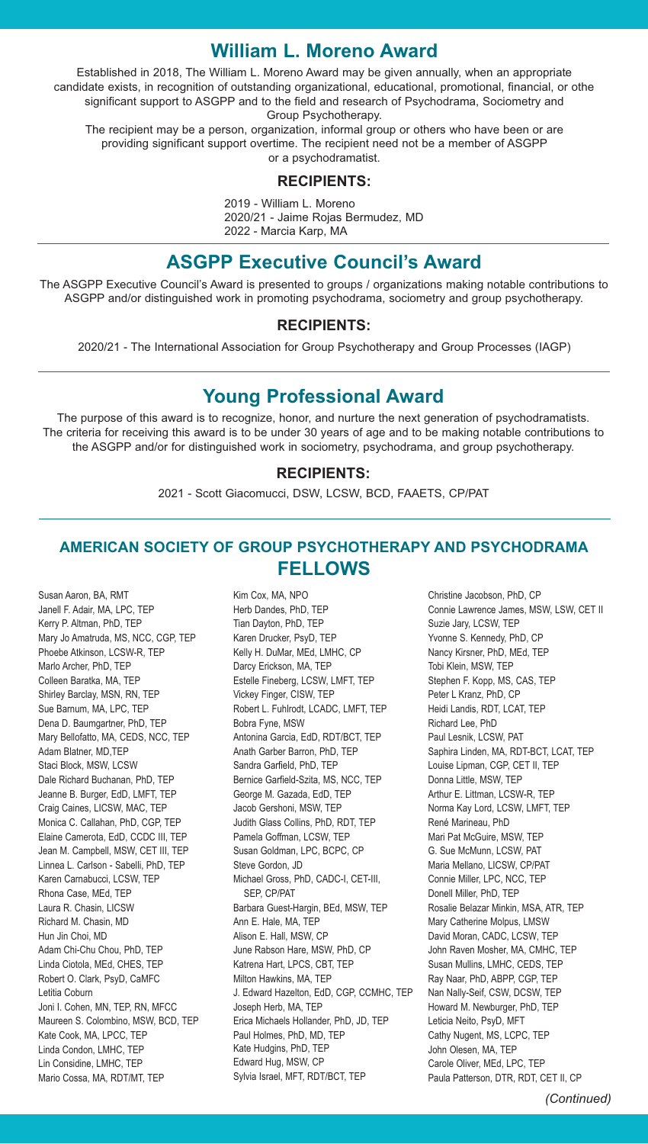## **William L. Moreno Award**

Established in 2018, The William L. Moreno Award may be given annually, when an appropriate candidate exists, in recognition of outstanding organizational, educational, promotional, financial, or othe significant support to ASGPP and to the field and research of Psychodrama, Sociometry and Group Psychotherapy.

The recipient may be a person, organization, informal group or others who have been or are providing significant support overtime. The recipient need not be a member of ASGPP or a psychodramatist.

#### **RECIPIENTS:**

2019 - William L. Moreno 2020/21 - Jaime Rojas Bermudez, MD 2022 - Marcia Karp, MA

## **ASGPP Executive Council's Award**

The ASGPP Executive Council's Award is presented to groups / organizations making notable contributions to ASGPP and/or distinguished work in promoting psychodrama, sociometry and group psychotherapy.

#### **RECIPIENTS:**

2020/21 - The International Association for Group Psychotherapy and Group Processes (IAGP)

# **Young Professional Award**

The purpose of this award is to recognize, honor, and nurture the next generation of psychodramatists. The criteria for receiving this award is to be under 30 years of age and to be making notable contributions to the ASGPP and/or for distinguished work in sociometry, psychodrama, and group psychotherapy.

#### **RECIPIENTS:**

2021 - Scott Giacomucci, DSW, LCSW, BCD, FAAETS, CP/PAT

## **AMERICAN SOCIETY OF GROUP PSYCHOTHERAPY AND PSYCHODRAMA FELLOWS**

Kim Cox, MA, NPO

Susan Aaron, BA, RMT Janell F. Adair, MA, LPC, TEP Kerry P. Altman, PhD, TEP Mary Jo Amatruda, MS, NCC, CGP, TEP Phoebe Atkinson, LCSW-R, TEP Marlo Archer, PhD, TEP Colleen Baratka, MA, TEP Shirley Barclay, MSN, RN, TEP Sue Barnum, MA, LPC, TEP Dena D. Baumgartner, PhD, TEP Mary Bellofatto, MA, CEDS, NCC, TEP Adam Blatner, MD,TEP Staci Block, MSW, LCSW Dale Richard Buchanan, PhD, TEP Jeanne B. Burger, EdD, LMFT, TEP Craig Caines, LICSW, MAC, TEP Monica C. Callahan, PhD, CGP, TEP Elaine Camerota, EdD, CCDC III, TEP Jean M. Campbell, MSW, CET III, TEP Linnea L. Carlson - Sabelli, PhD, TEP Karen Carnabucci, LCSW, TEP Rhona Case, MEd, TEP Laura R. Chasin, LICSW Richard M. Chasin, MD Hun Jin Choi, MD Adam Chi-Chu Chou, PhD, TEP Linda Ciotola, MEd, CHES, TEP Robert O. Clark, PsyD, CaMFC Letitia Coburn Joni I. Cohen, MN, TEP, RN, MFCC Maureen S. Colombino, MSW, BCD, TEP Kate Cook, MA, LPCC, TEP Linda Condon, LMHC, TEP Lin Considine, LMHC, TEP Mario Cossa, MA, RDT/MT, TEP

Herb Dandes, PhD, TEP Tian Dayton, PhD, TEP Karen Drucker, PsyD, TEP Kelly H. DuMar, MEd, LMHC, CP Darcy Erickson, MA, TEP Estelle Fineberg, LCSW, LMFT, TEP Vickey Finger, CISW, TEP Robert L. Fuhlrodt, LCADC, LMFT, TEP Bobra Fyne, MSW Antonina Garcia, EdD, RDT/BCT, TEP Anath Garber Barron, PhD, TEP Sandra Garfield, PhD, TEP Bernice Garfield-Szita, MS, NCC, TEP George M. Gazada, EdD, TEP Jacob Gershoni, MSW, TEP Judith Glass Collins, PhD, RDT, TEP Pamela Goffman, LCSW, TEP Susan Goldman, LPC, BCPC, CP Steve Gordon, JD Michael Gross, PhD, CADC-I, CET-III, SEP, CP/PAT Barbara Guest-Hargin, BEd, MSW, TEP Ann E. Hale, MA, TEP Alison E. Hall, MSW, CP June Rabson Hare, MSW, PhD, CP Katrena Hart, LPCS, CBT, TEP Milton Hawkins, MA, TEP J. Edward Hazelton, EdD, CGP, CCMHC, TEP Joseph Herb, MA, TEP Erica Michaels Hollander, PhD, JD, TEP Paul Holmes, PhD, MD, TEP Kate Hudgins, PhD, TEP Edward Hug, MSW, CP Sylvia Israel, MFT, RDT/BCT, TEP

Christine Jacobson, PhD, CP Connie Lawrence James, MSW, LSW, CET II Suzie Jary, LCSW, TEP Yvonne S. Kennedy, PhD, CP Nancy Kirsner, PhD, MEd, TEP Tobi Klein, MSW, TEP Stephen F. Kopp, MS, CAS, TEP Peter L Kranz, PhD, CP Heidi Landis, RDT, LCAT, TEP Richard Lee, PhD Paul Lesnik, LCSW, PAT Saphira Linden, MA, RDT-BCT, LCAT, TEP Louise Lipman, CGP, CET II, TEP Donna Little, MSW, TEP Arthur E. Littman, LCSW-R, TEP Norma Kay Lord, LCSW, LMFT, TEP René Marineau, PhD Mari Pat McGuire, MSW, TEP G. Sue McMunn, LCSW, PAT Maria Mellano, LICSW, CP/PAT Connie Miller, LPC, NCC, TEP Donell Miller, PhD, TEP Rosalie Belazar Minkin, MSA, ATR, TEP Mary Catherine Molpus, LMSW David Moran, CADC, LCSW, TEP John Raven Mosher, MA, CMHC, TEP Susan Mullins, LMHC, CEDS, TEP Ray Naar, PhD, ABPP, CGP, TEP Nan Nally-Seif, CSW, DCSW, TEP Howard M. Newburger, PhD, TEP Leticia Neito, PsyD, MFT Cathy Nugent, MS, LCPC, TEP John Olesen, MA, TEP Carole Oliver, MEd, LPC, TEP Paula Patterson, DTR, RDT, CET II, CP

*(Continued)*